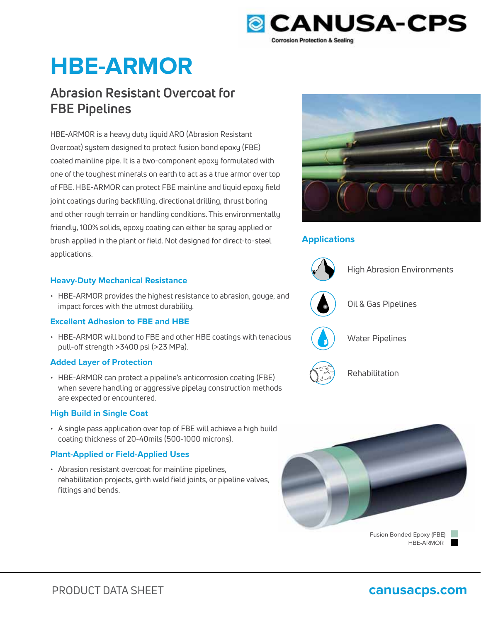

# **HBE-ARMOR**

## **Abrasion Resistant Overcoat for FBE Pipelines**

HBE-ARMOR is a heavy duty liquid ARO (Abrasion Resistant Overcoat) system designed to protect fusion bond epoxy (FBE) coated mainline pipe. It is a two-component epoxy formulated with one of the toughest minerals on earth to act as a true armor over top of FBE. HBE-ARMOR can protect FBE mainline and liquid epoxy field joint coatings during backfilling, directional drilling, thrust boring and other rough terrain or handling conditions. This environmentally friendly, 100% solids, epoxy coating can either be spray applied or brush applied in the plant or field. Not designed for direct-to-steel applications.

### **Heavy-Duty Mechanical Resistance**

• HBE-ARMOR provides the highest resistance to abrasion, gouge, and impact forces with the utmost durability.

### **Excellent Adhesion to FBE and HBE**

• HBE-ARMOR will bond to FBE and other HBE coatings with tenacious pull-off strength >3400 psi (>23 MPa).

### **Added Layer of Protection**

• HBE-ARMOR can protect a pipeline's anticorrosion coating (FBE) when severe handling or aggressive pipelay construction methods are expected or encountered.

### **High Build in Single Coat**

• A single pass application over top of FBE will achieve a high build coating thickness of 20-40mils (500-1000 microns).

### **Plant-Applied or Field-Applied Uses**

• Abrasion resistant overcoat for mainline pipelines, rehabilitation projects, girth weld field joints, or pipeline valves, fittings and bends.



### **Applications**



High Abrasion Environments



Oil & Gas Pipelines



Water Pipelines



PRODUCT DATA SHEET **canusacps.com**

Rehabilitation



HBE-ARMOR